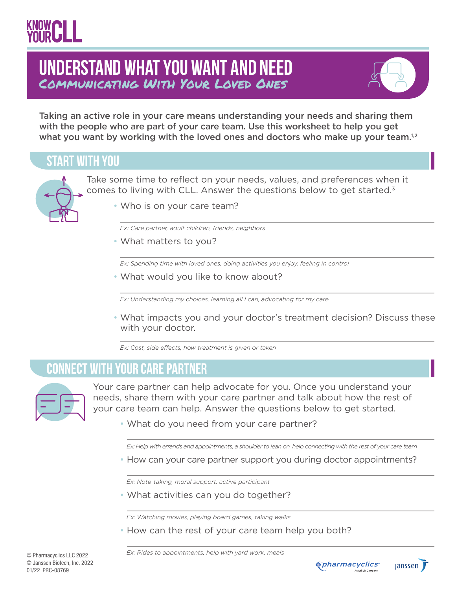### Communicating With Your Loved Ones **Understand What You Want and Need**



Taking an active role in your care means understanding your needs and sharing them with the people who are part of your care team. Use this worksheet to help you get what you want by working with the loved ones and doctors who make up your team. $1,2$ 

#### **start with you**



Take some time to reflect on your needs, values, and preferences when it comes to living with CLL. Answer the questions below to get started.<sup>3</sup>

• Who is on your care team?

*Ex: Care partner, adult children, friends, neighbors* 

• What matters to you?

*Ex: Spending time with loved ones, doing activities you enjoy, feeling in control*

• What would you like to know about?

 *Ex: Understanding my choices, learning all I can, advocating for my care* 

• What impacts you and your doctor's treatment decision? Discuss these with your doctor.

*Ex: Cost, side effects, how treatment is given or taken*

#### **connect with your Care Partner**



Your care partner can help advocate for you. Once you understand your needs, share them with your care partner and talk about how the rest of your care team can help. Answer the questions below to get started.

• What do you need from your care partner?

*Ex: Help with errands and appointments, a shoulder to lean on, help connecting with the rest of your care team*

• How can your care partner support you during doctor appointments?

*Ex: Note-taking, moral support, active participant*

• What activities can you do together?

*Ex: Watching movies, playing board games, taking walks*

• How can the rest of your care team help you both?

*Ex: Rides to appointments, help with yard work, meals*